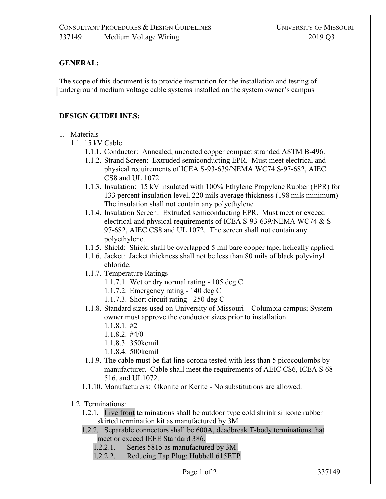## **GENERAL:**

The scope of this document is to provide instruction for the installation and testing of underground medium voltage cable systems installed on the system owner's campus

## **DESIGN GUIDELINES:**

- 1. Materials
	- 1.1. 15 kV Cable
		- 1.1.1. Conductor: Annealed, uncoated copper compact stranded ASTM B-496.
		- 1.1.2. Strand Screen: Extruded semiconducting EPR. Must meet electrical and physical requirements of ICEA S-93-639/NEMA WC74 S-97-682, AIEC CS8 and UL 1072.
		- 1.1.3. Insulation: 15 kV insulated with 100% Ethylene Propylene Rubber (EPR) for 133 percent insulation level, 220 mils average thickness (198 mils minimum) The insulation shall not contain any polyethylene
		- 1.1.4. Insulation Screen: Extruded semiconducting EPR. Must meet or exceed electrical and physical requirements of ICEA S-93-639/NEMA WC74 & S-97-682, AIEC CS8 and UL 1072. The screen shall not contain any polyethylene.
		- 1.1.5. Shield: Shield shall be overlapped 5 mil bare copper tape, helically applied.
		- 1.1.6. Jacket: Jacket thickness shall not be less than 80 mils of black polyvinyl chloride.
		- 1.1.7. Temperature Ratings
			- 1.1.7.1. Wet or dry normal rating 105 deg C
			- 1.1.7.2. Emergency rating 140 deg C
			- 1.1.7.3. Short circuit rating 250 deg C
		- 1.1.8. Standard sizes used on University of Missouri Columbia campus; System owner must approve the conductor sizes prior to installation.
			- 1.1.8.1. #2
			- 1.1.8.2. #4/0
			- 1.1.8.3. 350kcmil
			- 1.1.8.4. 500kcmil
		- 1.1.9. The cable must be flat line corona tested with less than 5 picocoulombs by manufacturer. Cable shall meet the requirements of AEIC CS6, ICEA S 68- 516, and UL1072.
		- 1.1.10. Manufacturers: Okonite or Kerite No substitutions are allowed.
	- 1.2. Terminations:
		- 1.2.1. Live front terminations shall be outdoor type cold shrink silicone rubber skirted termination kit as manufactured by 3M
		- 1.2.2. Separable connectors shall be 600A, deadbreak T-body terminations that meet or exceed IEEE Standard 386.
			- 1.2.2.1. Series 5815 as manufactured by 3M.
			- 1.2.2.2. Reducing Tap Plug: Hubbell 615ETP